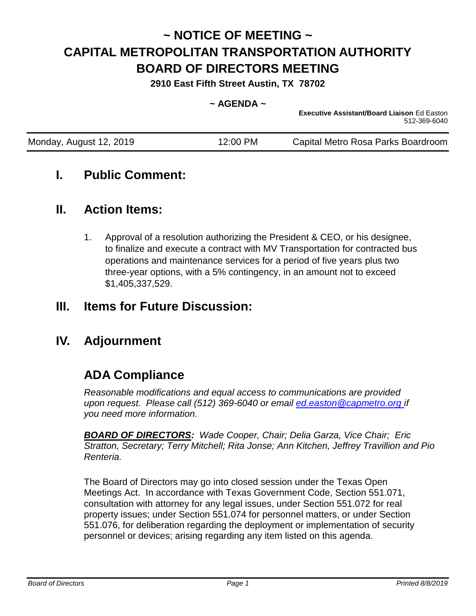# **~ NOTICE OF MEETING ~ CAPITAL METROPOLITAN TRANSPORTATION AUTHORITY BOARD OF DIRECTORS MEETING**

**2910 East Fifth Street Austin, TX 78702**

#### $\sim$  AGFNDA  $\sim$

**Executive Assistant/Board Liaison** Ed Easton 512-369-6040

| Monday, August 12, 2019 | 12:00 PM | Capital Metro Rosa Parks Boardroom |
|-------------------------|----------|------------------------------------|
|                         |          |                                    |

# **I. Public Comment:**

# **II. Action Items:**

1. Approval of a resolution authorizing the President & CEO, or his designee, to finalize and execute a contract with MV Transportation for contracted bus operations and maintenance services for a period of five years plus two three-year options, with a 5% contingency, in an amount not to exceed \$1,405,337,529.

# **III. Items for Future Discussion:**

# **IV. Adjournment**

# **ADA Compliance**

*Reasonable modifications and equal access to communications are provided upon request. Please call (512) 369-6040 or email ed.easton@capmetro.org if you need more information.*

*BOARD OF DIRECTORS: Wade Cooper, Chair; Delia Garza, Vice Chair; Eric Stratton, Secretary; Terry Mitchell; Rita Jonse; Ann Kitchen, Jeffrey Travillion and Pio Renteria.* 

The Board of Directors may go into closed session under the Texas Open Meetings Act. In accordance with Texas Government Code, Section 551.071, consultation with attorney for any legal issues, under Section 551.072 for real property issues; under Section 551.074 for personnel matters, or under Section 551.076, for deliberation regarding the deployment or implementation of security personnel or devices; arising regarding any item listed on this agenda.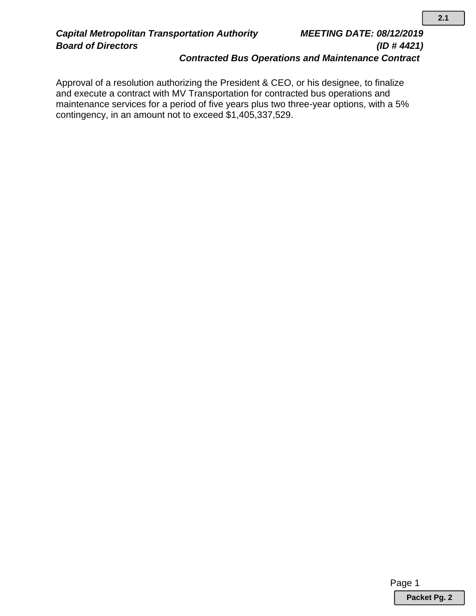# *Board of Directors (ID # 4421) Contracted Bus Operations and Maintenance Contract*

Approval of a resolution authorizing the President & CEO, or his designee, to finalize and execute a contract with MV Transportation for contracted bus operations and maintenance services for a period of five years plus two three-year options, with a 5% contingency, in an amount not to exceed \$1,405,337,529..

Page 1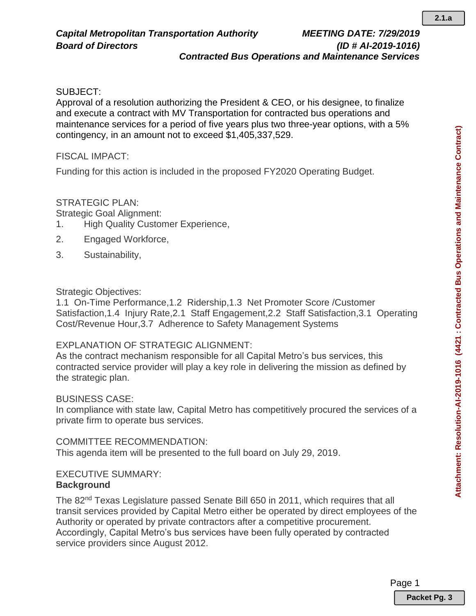### *Board of Directors (ID # AI-2019-1016) Contracted Bus Operations and Maintenance Services*

## SUBJECT:

Approval of a resolution authorizing the President & CEO, or his designee, to finalize and execute a contract with MV Transportation for contracted bus operations and maintenance services for a period of five years plus two three-year options, with a 5% contingency, in an amount not to exceed \$1,405,337,529.

### FISCAL IMPACT:

Funding for this action is included in the proposed FY2020 Operating Budget.

## STRATEGIC PLAN:

Strategic Goal Alignment:

- 1. High Quality Customer Experience,
- 2. Engaged Workforce,
- 3. Sustainability,

## Strategic Objectives:

1.1 On-Time Performance,1.2 Ridership,1.3 Net Promoter Score /Customer Satisfaction,1.4 Injury Rate,2.1 Staff Engagement,2.2 Staff Satisfaction,3.1 Operating Cost/Revenue Hour,3.7 Adherence to Safety Management Systems

# EXPLANATION OF STRATEGIC ALIGNMENT:

As the contract mechanism responsible for all Capital Metro's bus services, this contracted service provider will play a key role in delivering the mission as defined by the strategic plan.

### BUSINESS CASE:

In compliance with state law, Capital Metro has competitively procured the services of a private firm to operate bus services.

### COMMITTEE RECOMMENDATION:

This agenda item will be presented to the full board on July 29, 2019.

# EXECUTIVE SUMMARY:

## **Background**

The 82<sup>nd</sup> Texas Legislature passed Senate Bill 650 in 2011, which requires that all transit services provided by Capital Metro either be operated by direct employees of the Authority or operated by private contractors after a competitive procurement. Accordingly, Capital Metro's bus services have been fully operated by contracted service providers since August 2012.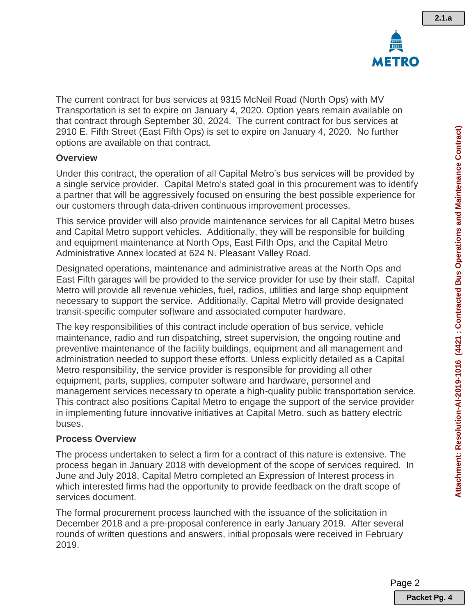

The current contract for bus services at 9315 McNeil Road (North Ops) with MV Transportation is set to expire on January 4, 2020. Option years remain available on that contract through September 30, 2024. The current contract for bus services at 2910 E. Fifth Street (East Fifth Ops) is set to expire on January 4, 2020. No further options are available on that contract.

## **Overview**

Under this contract, the operation of all Capital Metro's bus services will be provided by a single service provider. Capital Metro's stated goal in this procurement was to identify a partner that will be aggressively focused on ensuring the best possible experience for our customers through data-driven continuous improvement processes.

This service provider will also provide maintenance services for all Capital Metro buses and Capital Metro support vehicles. Additionally, they will be responsible for building and equipment maintenance at North Ops, East Fifth Ops, and the Capital Metro Administrative Annex located at 624 N. Pleasant Valley Road.

Designated operations, maintenance and administrative areas at the North Ops and East Fifth garages will be provided to the service provider for use by their staff. Capital Metro will provide all revenue vehicles, fuel, radios, utilities and large shop equipment necessary to support the service. Additionally, Capital Metro will provide designated transit-specific computer software and associated computer hardware.

The key responsibilities of this contract include operation of bus service, vehicle maintenance, radio and run dispatching, street supervision, the ongoing routine and preventive maintenance of the facility buildings, equipment and all management and administration needed to support these efforts. Unless explicitly detailed as a Capital Metro responsibility, the service provider is responsible for providing all other equipment, parts, supplies, computer software and hardware, personnel and management services necessary to operate a high-quality public transportation service. This contract also positions Capital Metro to engage the support of the service provider in implementing future innovative initiatives at Capital Metro, such as battery electric buses.

# **Process Overview**

The process undertaken to select a firm for a contract of this nature is extensive. The process began in January 2018 with development of the scope of services required. In June and July 2018, Capital Metro completed an Expression of Interest process in which interested firms had the opportunity to provide feedback on the draft scope of services document.

The formal procurement process launched with the issuance of the solicitation in December 2018 and a pre-proposal conference in early January 2019. After several rounds of written questions and answers, initial proposals were received in February 2019.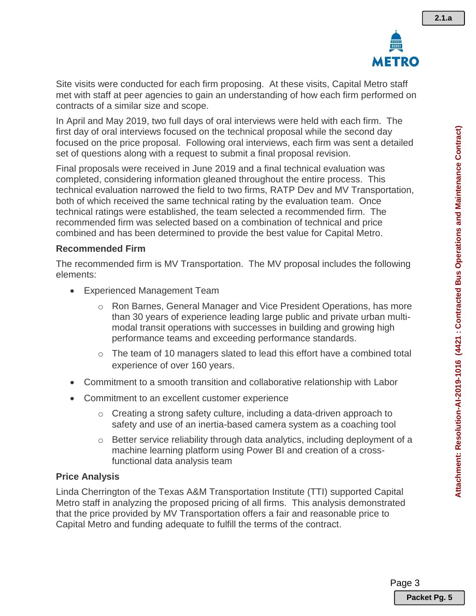

Site visits were conducted for each firm proposing. At these visits, Capital Metro staff met with staff at peer agencies to gain an understanding of how each firm performed on contracts of a similar size and scope.

In April and May 2019, two full days of oral interviews were held with each firm. The first day of oral interviews focused on the technical proposal while the second day focused on the price proposal. Following oral interviews, each firm was sent a detailed set of questions along with a request to submit a final proposal revision.

Final proposals were received in June 2019 and a final technical evaluation was completed, considering information gleaned throughout the entire process. This technical evaluation narrowed the field to two firms, RATP Dev and MV Transportation, both of which received the same technical rating by the evaluation team. Once technical ratings were established, the team selected a recommended firm. The recommended firm was selected based on a combination of technical and price combined and has been determined to provide the best value for Capital Metro.

#### **Recommended Firm**

The recommended firm is MV Transportation. The MV proposal includes the following elements:

- Experienced Management Team
	- o Ron Barnes, General Manager and Vice President Operations, has more than 30 years of experience leading large public and private urban multimodal transit operations with successes in building and growing high performance teams and exceeding performance standards.
	- o The team of 10 managers slated to lead this effort have a combined total experience of over 160 years.
- Commitment to a smooth transition and collaborative relationship with Labor
- Commitment to an excellent customer experience
	- o Creating a strong safety culture, including a data-driven approach to safety and use of an inertia-based camera system as a coaching tool
	- $\circ$  Better service reliability through data analytics, including deployment of a machine learning platform using Power BI and creation of a crossfunctional data analysis team

### **Price Analysis**

Linda Cherrington of the Texas A&M Transportation Institute (TTI) supported Capital Metro staff in analyzing the proposed pricing of all firms. This analysis demonstrated that the price provided by MV Transportation offers a fair and reasonable price to Capital Metro and funding adequate to fulfill the terms of the contract.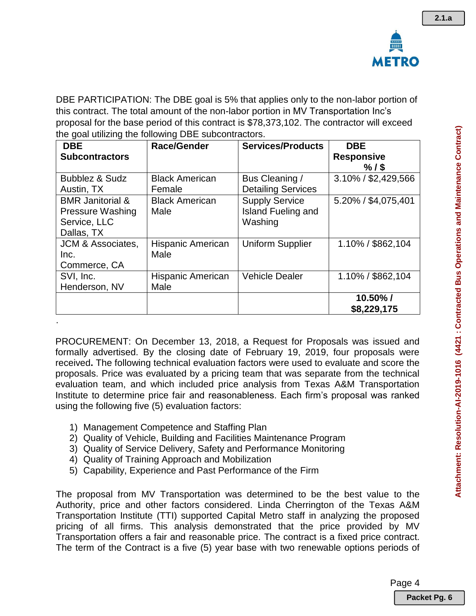

DBE PARTICIPATION: The DBE goal is 5% that applies only to the non-labor portion of this contract. The total amount of the non-labor portion in MV Transportation Inc's proposal for the base period of this contract is \$78,373,102. The contractor will exceed the goal utilizing the following DBE subcontractors.

| <b>DBE</b>              | <b>Race/Gender</b>    | <b>Services/Products</b>  | <b>DBE</b>                     |
|-------------------------|-----------------------|---------------------------|--------------------------------|
| <b>Subcontractors</b>   |                       |                           | <b>Responsive</b>              |
| Bubblez & Sudz          | <b>Black American</b> | Bus Cleaning /            | $%1$ \$<br>3.10% / \$2,429,566 |
| Austin, TX              | Female                | <b>Detailing Services</b> |                                |
| <b>BMR</b> Janitorial & | <b>Black American</b> | <b>Supply Service</b>     | 5.20% / \$4,075,401            |
| Pressure Washing        | Male                  | <b>Island Fueling and</b> |                                |
| Service, LLC            |                       | Washing                   |                                |
| Dallas, TX              |                       |                           |                                |
| JCM & Associates,       | Hispanic American     | <b>Uniform Supplier</b>   | 1.10% / \$862,104              |
| Inc.                    | Male                  |                           |                                |
| Commerce, CA            |                       |                           |                                |
| SVI, Inc.               | Hispanic American     | <b>Vehicle Dealer</b>     | 1.10% / \$862,104              |
| Henderson, NV           | Male                  |                           |                                |
|                         |                       |                           | $10.50\%$ /                    |
|                         |                       |                           | \$8,229,175                    |

PROCUREMENT: On December 13, 2018, a Request for Proposals was issued and formally advertised. By the closing date of February 19, 2019, four proposals were received**.** The following technical evaluation factors were used to evaluate and score the proposals. Price was evaluated by a pricing team that was separate from the technical evaluation team, and which included price analysis from Texas A&M Transportation Institute to determine price fair and reasonableness. Each firm's proposal was ranked using the following five (5) evaluation factors:

1) Management Competence and Staffing Plan

.

- 2) Quality of Vehicle, Building and Facilities Maintenance Program
- 3) Quality of Service Delivery, Safety and Performance Monitoring
- 4) Quality of Training Approach and Mobilization
- 5) Capability, Experience and Past Performance of the Firm

The proposal from MV Transportation was determined to be the best value to the Authority, price and other factors considered. Linda Cherrington of the Texas A&M Transportation Institute (TTI) supported Capital Metro staff in analyzing the proposed pricing of all firms. This analysis demonstrated that the price provided by MV Transportation offers a fair and reasonable price. The contract is a fixed price contract. The term of the Contract is a five (5) year base with two renewable options periods of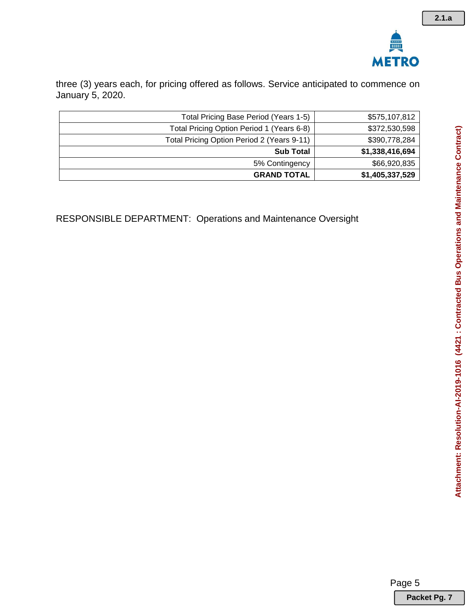

three (3) years each, for pricing offered as follows. Service anticipated to commence on January 5, 2020.

| Total Pricing Base Period (Years 1-5)      | \$575,107,812   |
|--------------------------------------------|-----------------|
| Total Pricing Option Period 1 (Years 6-8)  | \$372,530,598   |
| Total Pricing Option Period 2 (Years 9-11) | \$390,778,284   |
| <b>Sub Total</b>                           | \$1,338,416,694 |
| 5% Contingency                             | \$66,920,835    |
| <b>GRAND TOTAL</b>                         | \$1,405,337,529 |

RESPONSIBLE DEPARTMENT: Operations and Maintenance Oversight

Page 5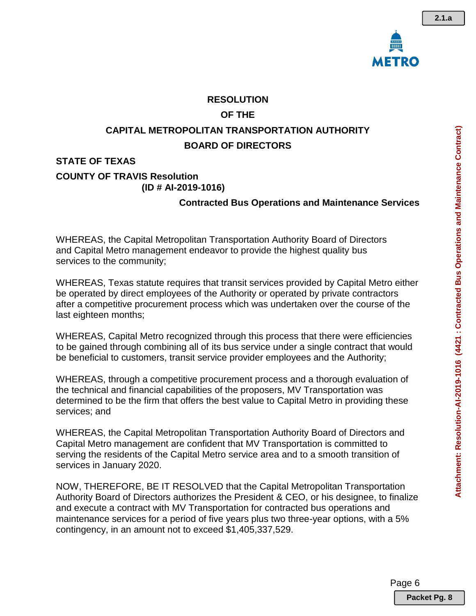

### **RESOLUTION**

# **OF THE**

# **CAPITAL METROPOLITAN TRANSPORTATION AUTHORITY BOARD OF DIRECTORS**

# **STATE OF TEXAS**

#### **COUNTY OF TRAVIS Resolution (ID # AI-2019-1016)**

# **Contracted Bus Operations and Maintenance Services**

WHEREAS, the Capital Metropolitan Transportation Authority Board of Directors and Capital Metro management endeavor to provide the highest quality bus services to the community;

WHEREAS, Texas statute requires that transit services provided by Capital Metro either be operated by direct employees of the Authority or operated by private contractors after a competitive procurement process which was undertaken over the course of the last eighteen months;

WHEREAS, Capital Metro recognized through this process that there were efficiencies to be gained through combining all of its bus service under a single contract that would be beneficial to customers, transit service provider employees and the Authority;

WHEREAS, through a competitive procurement process and a thorough evaluation of the technical and financial capabilities of the proposers, MV Transportation was determined to be the firm that offers the best value to Capital Metro in providing these services; and

WHEREAS, the Capital Metropolitan Transportation Authority Board of Directors and Capital Metro management are confident that MV Transportation is committed to serving the residents of the Capital Metro service area and to a smooth transition of services in January 2020.

NOW, THEREFORE, BE IT RESOLVED that the Capital Metropolitan Transportation Authority Board of Directors authorizes the President & CEO, or his designee, to finalize and execute a contract with MV Transportation for contracted bus operations and maintenance services for a period of five years plus two three-year options, with a 5% contingency, in an amount not to exceed \$1,405,337,529.